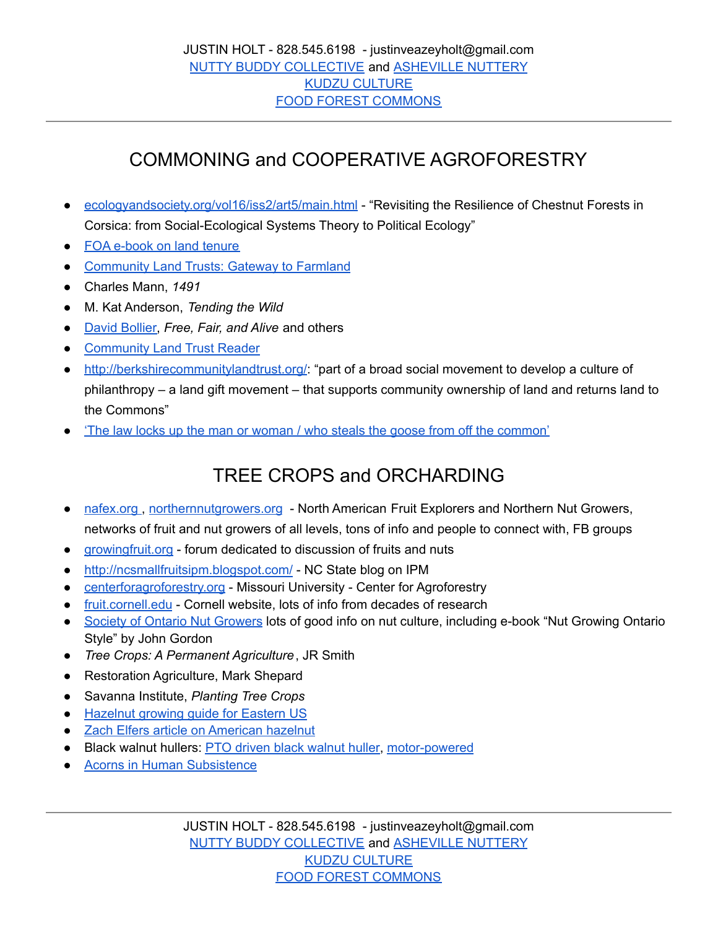## COMMONING and COOPERATIVE AGROFORESTRY

- [ecologyandsociety.org/vol16/iss2/art5/main.html](https://www.ecologyandsociety.org/vol16/iss2/art5/main.html) "Revisiting the Resilience of Chestnut Forests in Corsica: from Social-Ecological Systems Theory to Political Ecology"
- FOA [e-book](https://www.fao.org/3/y4307e/y4307e00.htm#Contents) on land tenure
- [Community](https://www.ecofarmingdaily.com/farm-management/transitioning-to-organic/community-land-trusts-gateway-to-farmland/) Land Trusts: Gateway to Farmland
- Charles Mann, *1491*
- M. Kat Anderson, *Tending the Wild*
- David [Bollier,](http://www.bollier.org/) *Free, Fair, and Alive* and others
- [Community](https://www.lincolninst.edu/sites/default/files/pubfiles/the-community-land-trust-reader-chp.pdf) Land Trust Reader
- <http://berkshirecommunitylandtrust.org/>: "part of a broad social movement to develop a culture of philanthropy – a land gift movement – that supports community ownership of land and returns land to the Commons"
- 'The law locks up the man or woman / who steals the goose from off the [common'](http://www.onthecommons.org/magazine/%E2%80%9Cstealing-common-goose%E2%80%9D#sthash.vF7G6KR4.dpbs)

## TREE CROPS and ORCHARDING

- [nafex.org](http://www.nebraskanutgrowers.org/), [northernnutgrowers.org](http://northernnutgrowers.org/) North American Fruit Explorers and Northern Nut Growers, networks of fruit and nut growers of all levels, tons of info and people to connect with, FB groups
- [growingfruit.org](http://www.growingfruit.org) forum dedicated to discussion of fruits and nuts
- <http://ncsmallfruitsipm.blogspot.com/> NC State blog on IPM
- [centerforagroforestry.org](http://www.centerforagroforestry.org) Missouri University Center for Agroforestry
- [fruit.cornell.edu](http://fruit.cornell.edu/) Cornell website, lots of info from decades of research
- Society of Ontario Nut [Growers](https://www.songonline.ca/articles.htm) lots of good info on nut culture, including e-book "Nut Growing Ontario Style" by John Gordon
- *Tree Crops: A Permanent Agriculture*, JR Smith
- Restoration Agriculture, Mark Shepard
- Savanna Institute, *Planting Tree Crops*
- [Hazelnut](https://growingfruit-images.s3.dualstack.us-west-2.amazonaws.com/original/3X/d/2/d25cb7d101cbde0615ac701079853af67a37af82.pdf) growing guide for Eastern US
- Zach Elfers article on [American](https://www.nomadseed.com/2019/04/the-american-hazelnut/) hazelnut
- Black [walnut](https://www.youtube.com/watch?v=mcDdSCDFLhU) hullers: PTO driven black walnut huller, [motor-powered](https://www.youtube.com/watch?v=47F6GQRFm0E)
- Acorns in Human [Subsistence](https://discovery.ucl.ac.uk/id/eprint/10121575/1/Mason_10121575_thesis.pdf)